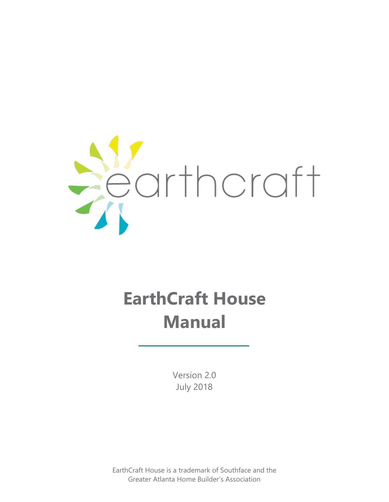

# **EarthCraft House Manual**

Version 2.0 July 2018

EarthCraft House is a trademark of Southface and the Greater Atlanta Home Builder's Association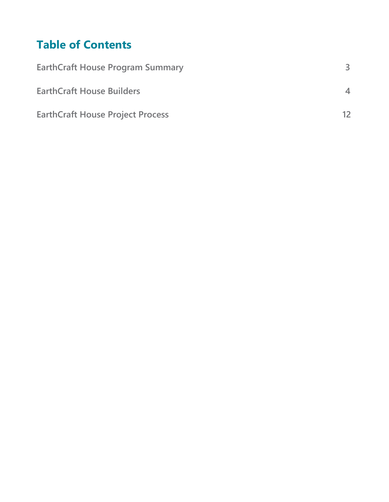## **Table of Contents**

| <b>EarthCraft House Program Summary</b> |                          |
|-----------------------------------------|--------------------------|
| <b>EarthCraft House Builders</b>        | $\overline{\mathcal{A}}$ |
| <b>EarthCraft House Project Process</b> | 12                       |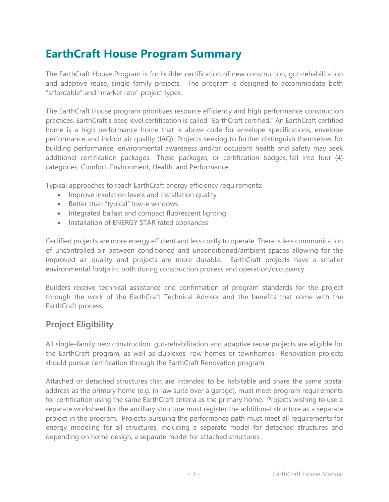## **EarthCraft House Program Summary**

The EarthCraft House Program is for builder certification of new construction, gut-rehabilitation and adaptive reuse, single family projects. The program is designed to accommodate both "affordable" and "market rate" project types.

The EarthCraft House program prioritizes resource efficiency and high performance construction practices. EarthCraft's base level certification is called "EarthCraft certified." An EarthCraft certified home is a high performance home that is above code for envelope specifications, envelope performance and indoor air quality (IAQ). Projects seeking to further distinguish themselves for building performance, environmental awareness and/or occupant health and safety may seek additional certification packages. These packages, or certification badges, fall into four (4) categories: Comfort, Environment, Health, and Performance.

Typical approaches to reach EarthCraft energy efficiency requirements:

- Improve insulation levels and installation quality
- Better than "typical" low-e windows
- Integrated ballast and compact fluorescent lighting
- Installation of ENERGY STAR rated appliances

Certified projects are more energy efficient and less costly to operate. There is less communication of uncontrolled air between conditioned and unconditioned/ambient spaces allowing for the improved air quality and projects are more durable. EarthCraft projects have a smaller environmental footprint both during construction process and operation/occupancy.

Builders receive technical assistance and confirmation of program standards for the project through the work of the EarthCraft Technical Advisor and the benefits that come with the EarthCraft process.

## **Project Eligibility**

All single-family new construction, gut-rehabilitation and adaptive reuse projects are eligible for the EarthCraft program, as well as duplexes, row homes or townhomes Renovation projects should pursue certification through the EarthCraft Renovation program.

Attached or detached structures that are intended to be habitable and share the same postal address as the primary home (e.g. in-law suite over a garage), must meet program requirements for certification using the same EarthCraft criteria as the primary home. Projects wishing to use a separate worksheet for the ancillary structure must register the additional structure as a separate project in the program. Projects pursuing the performance path must meet all requirements for energy modeling for all structures, including a separate model for detached structures and depending on home design, a separate model for attached structures.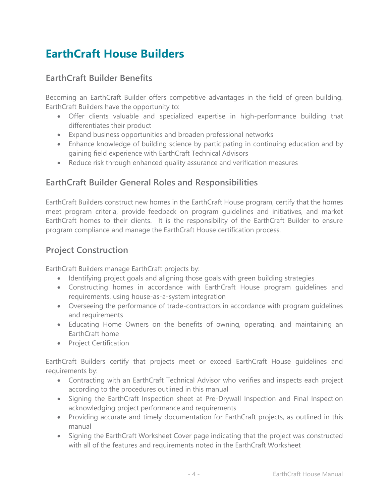## **EarthCraft House Builders**

## **EarthCraft Builder Benefits**

Becoming an EarthCraft Builder offers competitive advantages in the field of green building. EarthCraft Builders have the opportunity to:

- Offer clients valuable and specialized expertise in high-performance building that differentiates their product
- Expand business opportunities and broaden professional networks
- Enhance knowledge of building science by participating in continuing education and by gaining field experience with EarthCraft Technical Advisors
- Reduce risk through enhanced quality assurance and verification measures

## **EarthCraft Builder General Roles and Responsibilities**

EarthCraft Builders construct new homes in the EarthCraft House program, certify that the homes meet program criteria, provide feedback on program guidelines and initiatives, and market EarthCraft homes to their clients. It is the responsibility of the EarthCraft Builder to ensure program compliance and manage the EarthCraft House certification process.

## **Project Construction**

EarthCraft Builders manage EarthCraft projects by:

- Identifying project goals and aligning those goals with green building strategies
- Constructing homes in accordance with EarthCraft House program guidelines and requirements, using house-as-a-system integration
- Overseeing the performance of trade-contractors in accordance with program guidelines and requirements
- Educating Home Owners on the benefits of owning, operating, and maintaining an EarthCraft home
- Project Certification

EarthCraft Builders certify that projects meet or exceed EarthCraft House guidelines and requirements by:

- Contracting with an EarthCraft Technical Advisor who verifies and inspects each project according to the procedures outlined in this manual
- Signing the EarthCraft Inspection sheet at Pre-Drywall Inspection and Final Inspection acknowledging project performance and requirements
- Providing accurate and timely documentation for EarthCraft projects, as outlined in this manual
- Signing the EarthCraft Worksheet Cover page indicating that the project was constructed with all of the features and requirements noted in the EarthCraft Worksheet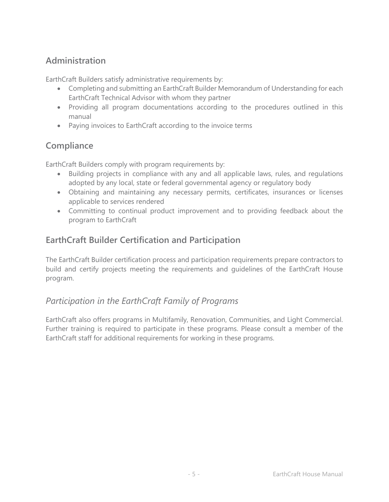## **Administration**

EarthCraft Builders satisfy administrative requirements by:

- Completing and submitting an EarthCraft Builder Memorandum of Understanding for each EarthCraft Technical Advisor with whom they partner
- Providing all program documentations according to the procedures outlined in this manual
- Paying invoices to EarthCraft according to the invoice terms

## **Compliance**

EarthCraft Builders comply with program requirements by:

- Building projects in compliance with any and all applicable laws, rules, and regulations adopted by any local, state or federal governmental agency or regulatory body
- Obtaining and maintaining any necessary permits, certificates, insurances or licenses applicable to services rendered
- Committing to continual product improvement and to providing feedback about the program to EarthCraft

## **EarthCraft Builder Certification and Participation**

The EarthCraft Builder certification process and participation requirements prepare contractors to build and certify projects meeting the requirements and guidelines of the EarthCraft House program.

## *Participation in the EarthCraft Family of Programs*

EarthCraft also offers programs in Multifamily, Renovation, Communities, and Light Commercial. Further training is required to participate in these programs. Please consult a member of the EarthCraft staff for additional requirements for working in these programs.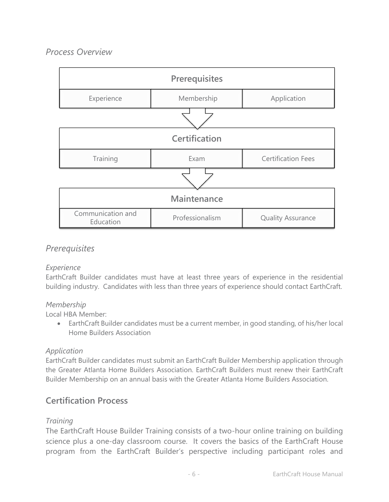## *Process Overview*

| Prerequisites                  |                 |                           |
|--------------------------------|-----------------|---------------------------|
| Experience                     | Membership      | Application               |
|                                |                 |                           |
| Certification                  |                 |                           |
| Training                       | Exam            | <b>Certification Fees</b> |
|                                |                 |                           |
| <b>Maintenance</b>             |                 |                           |
| Communication and<br>Education | Professionalism | <b>Quality Assurance</b>  |

## *Prerequisites*

## *Experience*

EarthCraft Builder candidates must have at least three years of experience in the residential building industry. Candidates with less than three years of experience should contact EarthCraft.

#### *Membership*

Local HBA Member:

 EarthCraft Builder candidates must be a current member, in good standing, of his/her local Home Builders Association

## *Application*

EarthCraft Builder candidates must submit an EarthCraft Builder Membership application through the Greater Atlanta Home Builders Association. EarthCraft Builders must renew their EarthCraft Builder Membership on an annual basis with the Greater Atlanta Home Builders Association.

## **Certification Process**

## *Training*

The EarthCraft House Builder Training consists of a two-hour online training on building science plus a one-day classroom course. It covers the basics of the EarthCraft House program from the EarthCraft Builder's perspective including participant roles and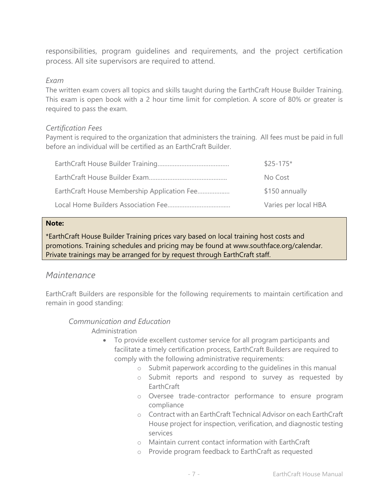responsibilities, program guidelines and requirements, and the project certification process. All site supervisors are required to attend.

#### *Exam*

The written exam covers all topics and skills taught during the EarthCraft House Builder Training. This exam is open book with a 2 hour time limit for completion. A score of 80% or greater is required to pass the exam.

#### *Certification Fees*

Payment is required to the organization that administers the training. All fees must be paid in full before an individual will be certified as an EarthCraft Builder.

|                                             | $$25-175*$           |
|---------------------------------------------|----------------------|
|                                             | No Cost              |
| EarthCraft House Membership Application Fee | \$150 annually       |
|                                             | Varies per local HBA |

#### **Note:**

\*EarthCraft House Builder Training prices vary based on local training host costs and promotions. Training schedules and pricing may be found at www.southface.org/calendar. Private trainings may be arranged for by request through EarthCraft staff.

## *Maintenance*

EarthCraft Builders are responsible for the following requirements to maintain certification and remain in good standing:

#### *Communication and Education*

Administration

- To provide excellent customer service for all program participants and facilitate a timely certification process, EarthCraft Builders are required to comply with the following administrative requirements:
	- o Submit paperwork according to the guidelines in this manual
	- o Submit reports and respond to survey as requested by EarthCraft
	- o Oversee trade-contractor performance to ensure program compliance
	- o Contract with an EarthCraft Technical Advisor on each EarthCraft House project for inspection, verification, and diagnostic testing services
	- o Maintain current contact information with EarthCraft
	- o Provide program feedback to EarthCraft as requested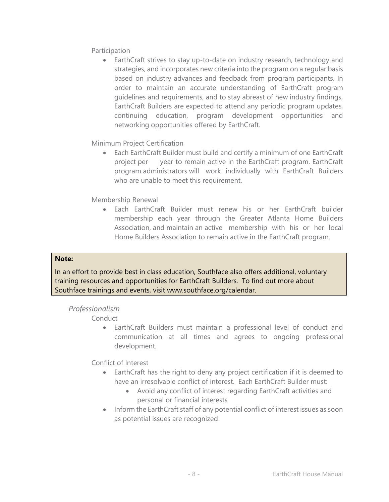Participation

 EarthCraft strives to stay up-to-date on industry research, technology and strategies, and incorporates new criteria into the program on a regular basis based on industry advances and feedback from program participants. In order to maintain an accurate understanding of EarthCraft program guidelines and requirements, and to stay abreast of new industry findings, EarthCraft Builders are expected to attend any periodic program updates, continuing education, program development opportunities and networking opportunities offered by EarthCraft.

Minimum Project Certification

 Each EarthCraft Builder must build and certify a minimum of one EarthCraft project per year to remain active in the EarthCraft program. EarthCraft program administrators will work individually with EarthCraft Builders who are unable to meet this requirement.

Membership Renewal

 Each EarthCraft Builder must renew his or her EarthCraft builder membership each year through the Greater Atlanta Home Builders Association, and maintain an active membership with his or her local Home Builders Association to remain active in the EarthCraft program.

#### **Note:**

In an effort to provide best in class education, Southface also offers additional, voluntary training resources and opportunities for EarthCraft Builders. To find out more about Southface trainings and events, visit www.southface.org/calendar.

#### *Professionalism*

Conduct

 EarthCraft Builders must maintain a professional level of conduct and communication at all times and agrees to ongoing professional development.

Conflict of Interest

- EarthCraft has the right to deny any project certification if it is deemed to have an irresolvable conflict of interest. Each EarthCraft Builder must:
	- Avoid any conflict of interest regarding EarthCraft activities and personal or financial interests
- Inform the EarthCraft staff of any potential conflict of interest issues as soon as potential issues are recognized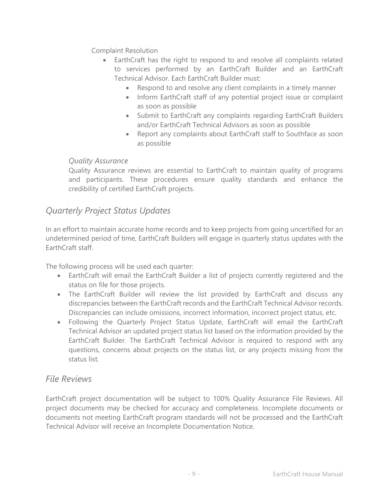Complaint Resolution

- EarthCraft has the right to respond to and resolve all complaints related to services performed by an EarthCraft Builder and an EarthCraft Technical Advisor. Each EarthCraft Builder must:
	- Respond to and resolve any client complaints in a timely manner
	- Inform EarthCraft staff of any potential project issue or complaint as soon as possible
	- Submit to EarthCraft any complaints regarding EarthCraft Builders and/or EarthCraft Technical Advisors as soon as possible
	- Report any complaints about EarthCraft staff to Southface as soon as possible

## *Quality Assurance*

Quality Assurance reviews are essential to EarthCraft to maintain quality of programs and participants. These procedures ensure quality standards and enhance the credibility of certified EarthCraft projects.

## *Quarterly Project Status Updates*

In an effort to maintain accurate home records and to keep projects from going uncertified for an undetermined period of time, EarthCraft Builders will engage in quarterly status updates with the EarthCraft staff.

The following process will be used each quarter:

- EarthCraft will email the EarthCraft Builder a list of projects currently registered and the status on file for those projects.
- The EarthCraft Builder will review the list provided by EarthCraft and discuss any discrepancies between the EarthCraft records and the EarthCraft Technical Advisor records. Discrepancies can include omissions, incorrect information, incorrect project status, etc.
- Following the Quarterly Project Status Update, EarthCraft will email the EarthCraft Technical Advisor an updated project status list based on the information provided by the EarthCraft Builder. The EarthCraft Technical Advisor is required to respond with any questions, concerns about projects on the status list, or any projects missing from the status list.

## *File Reviews*

EarthCraft project documentation will be subject to 100% Quality Assurance File Reviews. All project documents may be checked for accuracy and completeness. Incomplete documents or documents not meeting EarthCraft program standards will not be processed and the EarthCraft Technical Advisor will receive an Incomplete Documentation Notice.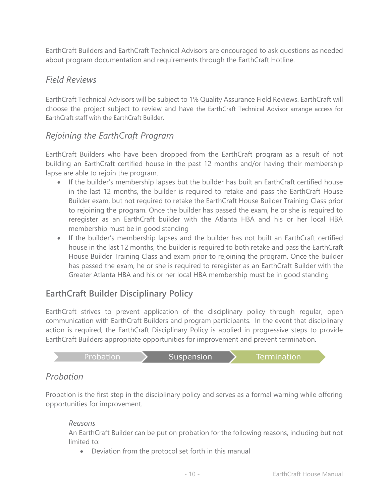EarthCraft Builders and EarthCraft Technical Advisors are encouraged to ask questions as needed about program documentation and requirements through the EarthCraft Hotline.

## *Field Reviews*

EarthCraft Technical Advisors will be subject to 1% Quality Assurance Field Reviews. EarthCraft will choose the project subject to review and have the EarthCraft Technical Advisor arrange access for EarthCraft staff with the EarthCraft Builder.

## *Rejoining the EarthCraft Program*

EarthCraft Builders who have been dropped from the EarthCraft program as a result of not building an EarthCraft certified house in the past 12 months and/or having their membership lapse are able to rejoin the program.

- If the builder's membership lapses but the builder has built an EarthCraft certified house in the last 12 months, the builder is required to retake and pass the EarthCraft House Builder exam, but not required to retake the EarthCraft House Builder Training Class prior to rejoining the program. Once the builder has passed the exam, he or she is required to reregister as an EarthCraft builder with the Atlanta HBA and his or her local HBA membership must be in good standing
- If the builder's membership lapses and the builder has not built an EarthCraft certified house in the last 12 months, the builder is required to both retake and pass the EarthCraft House Builder Training Class and exam prior to rejoining the program. Once the builder has passed the exam, he or she is required to reregister as an EarthCraft Builder with the Greater Atlanta HBA and his or her local HBA membership must be in good standing

## **EarthCraft Builder Disciplinary Policy**

EarthCraft strives to prevent application of the disciplinary policy through regular, open communication with EarthCraft Builders and program participants. In the event that disciplinary action is required, the EarthCraft Disciplinary Policy is applied in progressive steps to provide EarthCraft Builders appropriate opportunities for improvement and prevent termination.



## *Probation*

Probation is the first step in the disciplinary policy and serves as a formal warning while offering opportunities for improvement.

## *Reasons*

An EarthCraft Builder can be put on probation for the following reasons, including but not limited to:

Deviation from the protocol set forth in this manual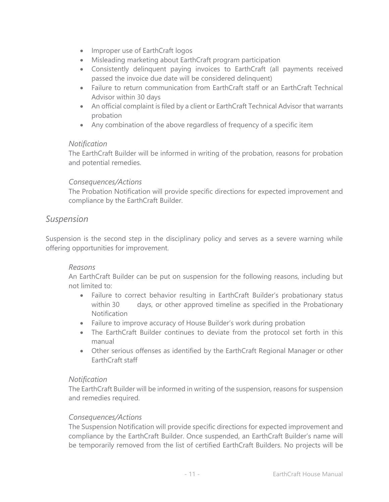- Improper use of EarthCraft logos
- Misleading marketing about EarthCraft program participation
- Consistently delinquent paying invoices to EarthCraft (all payments received passed the invoice due date will be considered delinquent)
- Failure to return communication from EarthCraft staff or an EarthCraft Technical Advisor within 30 days
- An official complaint is filed by a client or EarthCraft Technical Advisor that warrants probation
- Any combination of the above regardless of frequency of a specific item

#### *Notification*

The EarthCraft Builder will be informed in writing of the probation, reasons for probation and potential remedies.

#### *Consequences/Actions*

The Probation Notification will provide specific directions for expected improvement and compliance by the EarthCraft Builder.

## *Suspension*

Suspension is the second step in the disciplinary policy and serves as a severe warning while offering opportunities for improvement.

#### *Reasons*

An EarthCraft Builder can be put on suspension for the following reasons, including but not limited to:

- Failure to correct behavior resulting in EarthCraft Builder's probationary status within 30 days, or other approved timeline as specified in the Probationary Notification
- Failure to improve accuracy of House Builder's work during probation
- The EarthCraft Builder continues to deviate from the protocol set forth in this manual
- Other serious offenses as identified by the EarthCraft Regional Manager or other EarthCraft staff

## *Notification*

The EarthCraft Builder will be informed in writing of the suspension, reasons for suspension and remedies required.

#### *Consequences/Actions*

The Suspension Notification will provide specific directions for expected improvement and compliance by the EarthCraft Builder. Once suspended, an EarthCraft Builder's name will be temporarily removed from the list of certified EarthCraft Builders. No projects will be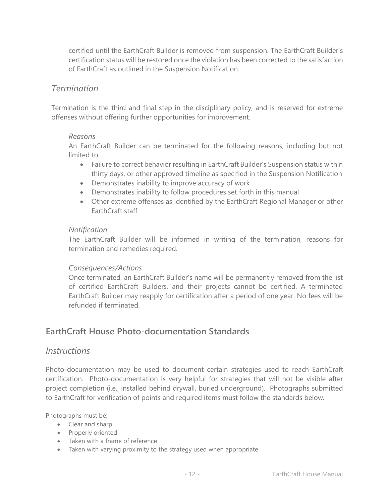certified until the EarthCraft Builder is removed from suspension. The EarthCraft Builder's certification status will be restored once the violation has been corrected to the satisfaction of EarthCraft as outlined in the Suspension Notification.

## *Termination*

Termination is the third and final step in the disciplinary policy, and is reserved for extreme offenses without offering further opportunities for improvement.

#### *Reasons*

An EarthCraft Builder can be terminated for the following reasons, including but not limited to:

- Failure to correct behavior resulting in EarthCraft Builder's Suspension status within thirty days, or other approved timeline as specified in the Suspension Notification
- Demonstrates inability to improve accuracy of work
- Demonstrates inability to follow procedures set forth in this manual
- Other extreme offenses as identified by the EarthCraft Regional Manager or other EarthCraft staff

#### *Notification*

The EarthCraft Builder will be informed in writing of the termination, reasons for termination and remedies required.

#### *Consequences/Actions*

Once terminated, an EarthCraft Builder's name will be permanently removed from the list of certified EarthCraft Builders, and their projects cannot be certified. A terminated EarthCraft Builder may reapply for certification after a period of one year. No fees will be refunded if terminated.

## **EarthCraft House Photo-documentation Standards**

## *Instructions*

Photo-documentation may be used to document certain strategies used to reach EarthCraft certification. Photo-documentation is very helpful for strategies that will not be visible after project completion (i.e., installed behind drywall, buried underground). Photographs submitted to EarthCraft for verification of points and required items must follow the standards below.

Photographs must be:

- Clear and sharp
- Properly oriented
- Taken with a frame of reference
- Taken with varying proximity to the strategy used when appropriate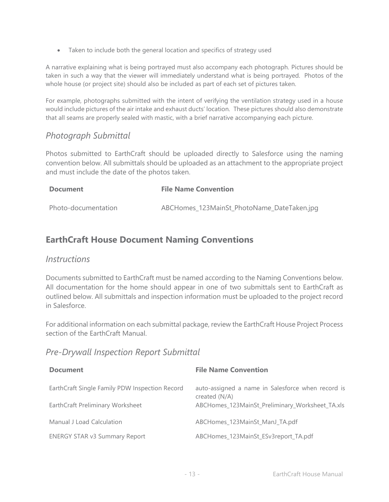Taken to include both the general location and specifics of strategy used

A narrative explaining what is being portrayed must also accompany each photograph. Pictures should be taken in such a way that the viewer will immediately understand what is being portrayed. Photos of the whole house (or project site) should also be included as part of each set of pictures taken.

For example, photographs submitted with the intent of verifying the ventilation strategy used in a house would include pictures of the air intake and exhaust ducts' location. These pictures should also demonstrate that all seams are properly sealed with mastic, with a brief narrative accompanying each picture.

## *Photograph Submittal*

Photos submitted to EarthCraft should be uploaded directly to Salesforce using the naming convention below. All submittals should be uploaded as an attachment to the appropriate project and must include the date of the photos taken.

| <b>Document</b>     | <b>File Name Convention</b>                |
|---------------------|--------------------------------------------|
| Photo-documentation | ABCHomes_123MainSt_PhotoName_DateTaken.jpg |

## **EarthCraft House Document Naming Conventions**

## *Instructions*

Documents submitted to EarthCraft must be named according to the Naming Conventions below. All documentation for the home should appear in one of two submittals sent to EarthCraft as outlined below. All submittals and inspection information must be uploaded to the project record in Salesforce.

For additional information on each submittal package, review the EarthCraft House Project Process section of the EarthCraft Manual.

## *Pre-Drywall Inspection Report Submittal*

| <b>Document</b>                                | <b>File Name Convention</b>                                        |
|------------------------------------------------|--------------------------------------------------------------------|
| EarthCraft Single Family PDW Inspection Record | auto-assigned a name in Salesforce when record is<br>created (N/A) |
| EarthCraft Preliminary Worksheet               | ABCHomes_123MainSt_Preliminary_Worksheet_TA.xls                    |
| Manual J Load Calculation                      | ABCHomes 123MainSt ManJ TA.pdf                                     |
| <b>ENERGY STAR v3 Summary Report</b>           | ABCHomes_123MainSt_ESv3report_TA.pdf                               |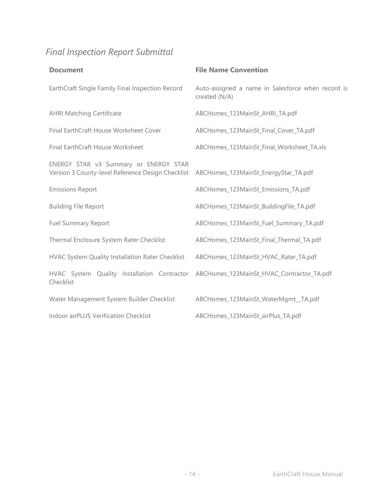## *Final Inspection Report Submittal*

| <b>Document</b>                                                                                                                 | <b>File Name Convention</b>                                        |
|---------------------------------------------------------------------------------------------------------------------------------|--------------------------------------------------------------------|
| EarthCraft Single Family Final Inspection Record                                                                                | Auto-assigned a name in Salesforce when record is<br>created (N/A) |
| <b>AHRI Matching Certificate</b>                                                                                                | ABCHomes_123MainSt_AHRI_TA.pdf                                     |
| Final EarthCraft House Worksheet Cover                                                                                          | ABCHomes_123MainSt_Final_Cover_TA.pdf                              |
| Final EarthCraft House Worksheet                                                                                                | ABCHomes_123MainSt_Final_Worksheet_TA.xls                          |
| ENERGY STAR v3 Summary or ENERGY STAR<br>Version 3 County-level Reference Design Checklist ABCHomes_123MainSt_EnergyStar_TA.pdf |                                                                    |
| <b>Emissions Report</b>                                                                                                         | ABCHomes_123MainSt_Emissions_TA.pdf                                |
| <b>Building File Report</b>                                                                                                     | ABCHomes_123MainSt_BuildingFile_TA.pdf                             |
| <b>Fuel Summary Report</b>                                                                                                      | ABCHomes_123MainSt_Fuel_Summary_TA.pdf                             |
| Thermal Enclosure System Rater Checklist                                                                                        | ABCHomes_123MainSt_Final_Thermal_TA.pdf                            |
| HVAC System Quality Installation Rater Checklist                                                                                | ABCHomes_123MainSt_HVAC_Rater_TA.pdf                               |
| HVAC System Quality Installation Contractor ABCHomes_123MainSt_HVAC_Contractor_TA.pdf<br>Checklist                              |                                                                    |
| Water Management System Builder Checklist                                                                                       | ABCHomes_123MainSt_WaterMgmt_TA.pdf                                |
| Indoor airPLUS Verification Checklist                                                                                           | ABCHomes_123MainSt_airPlus_TA.pdf                                  |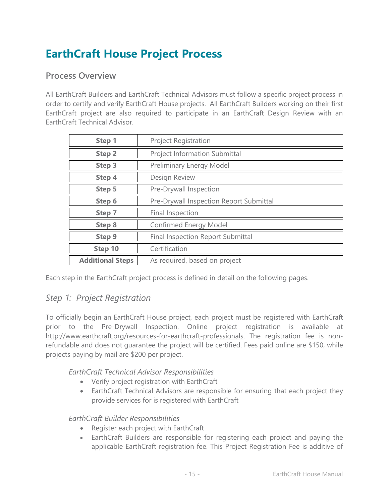## **EarthCraft House Project Process**

## **Process Overview**

All EarthCraft Builders and EarthCraft Technical Advisors must follow a specific project process in order to certify and verify EarthCraft House projects. All EarthCraft Builders working on their first EarthCraft project are also required to participate in an EarthCraft Design Review with an EarthCraft Technical Advisor.

| Step 1                  | <b>Project Registration</b>              |
|-------------------------|------------------------------------------|
| <b>Step 2</b>           | <b>Project Information Submittal</b>     |
| Step 3                  | Preliminary Energy Model                 |
| Step 4                  | Design Review                            |
| Step 5                  | Pre-Drywall Inspection                   |
| Step 6                  | Pre-Drywall Inspection Report Submittal  |
| Step 7                  | Final Inspection                         |
| <b>Step 8</b>           | Confirmed Energy Model                   |
| <b>Step 9</b>           | <b>Final Inspection Report Submittal</b> |
| Step 10                 | Certification                            |
| <b>Additional Steps</b> | As required, based on project            |

Each step in the EarthCraft project process is defined in detail on the following pages.

## *Step 1: Project Registration*

To officially begin an EarthCraft House project, each project must be registered with EarthCraft prior to the Pre-Drywall Inspection. Online project registration is available at [http://www.earthcraft.org/resources-for-earthcraft-professionals.](http://www.earthcraft.org/resources-for-earthcraft-professionals) The registration fee is nonrefundable and does not guarantee the project will be certified. Fees paid online are \$150, while projects paying by mail are \$200 per project.

*EarthCraft Technical Advisor Responsibilities*

- Verify project registration with EarthCraft
- EarthCraft Technical Advisors are responsible for ensuring that each project they provide services for is registered with EarthCraft

#### *EarthCraft Builder Responsibilities*

- Register each project with EarthCraft
- EarthCraft Builders are responsible for registering each project and paying the applicable EarthCraft registration fee. This Project Registration Fee is additive of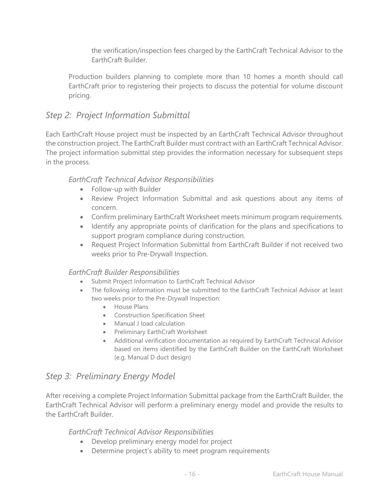the verification/inspection fees charged by the EarthCraft Technical Advisor to the EarthCraft Builder.

Production builders planning to complete more than 10 homes a month should call EarthCraft prior to registering their projects to discuss the potential for volume discount pricing.

## *Step 2: Project Information Submittal*

Each EarthCraft House project must be inspected by an EarthCraft Technical Advisor throughout the construction project. The EarthCraft Builder must contract with an EarthCraft Technical Advisor. The project information submittal step provides the information necessary for subsequent steps in the process.

## *EarthCraft Technical Advisor Responsibilities*

- Follow-up with Builder
- Review Project Information Submittal and ask questions about any items of concern.
- Confirm preliminary EarthCraft Worksheet meets minimum program requirements.
- Identify any appropriate points of clarification for the plans and specifications to support program compliance during construction.
- Request Project Information Submittal from EarthCraft Builder if not received two weeks prior to Pre-Drywall Inspection.

#### *EarthCraft Builder Responsibilities*

- Submit Project Information to EarthCraft Technical Advisor
- The following information must be submitted to the EarthCraft Technical Advisor at least two weeks prior to the Pre-Drywall Inspection:
	- **•** House Plans
	- Construction Specification Sheet
	- Manual J load calculation
	- Preliminary EarthCraft Worksheet
	- Additional verification documentation as required by EarthCraft Technical Advisor based on items identified by the EarthCraft Builder on the EarthCraft Worksheet (e.g. Manual D duct design)

## *Step 3: Preliminary Energy Model*

After receiving a complete Project Information Submittal package from the EarthCraft Builder, the EarthCraft Technical Advisor will perform a preliminary energy model and provide the results to the EarthCraft Builder.

*EarthCraft Technical Advisor Responsibilities*

- Develop preliminary energy model for project
- Determine project's ability to meet program requirements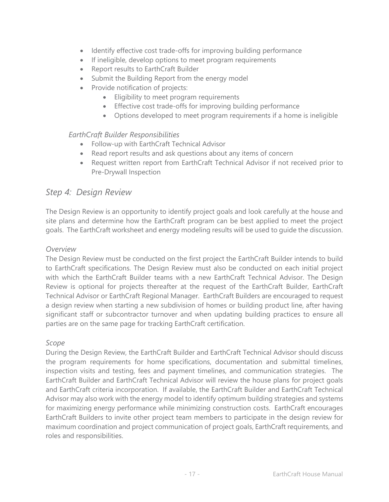- Identify effective cost trade-offs for improving building performance
- If ineligible, develop options to meet program requirements
- Report results to EarthCraft Builder
- Submit the Building Report from the energy model
- Provide notification of projects:
	- **Eligibility to meet program requirements**
	- Effective cost trade-offs for improving building performance
	- Options developed to meet program requirements if a home is ineligible

## *EarthCraft Builder Responsibilities*

- Follow-up with EarthCraft Technical Advisor
- Read report results and ask questions about any items of concern
- Request written report from EarthCraft Technical Advisor if not received prior to Pre-Drywall Inspection

## *Step 4: Design Review*

The Design Review is an opportunity to identify project goals and look carefully at the house and site plans and determine how the EarthCraft program can be best applied to meet the project goals. The EarthCraft worksheet and energy modeling results will be used to guide the discussion.

## *Overview*

The Design Review must be conducted on the first project the EarthCraft Builder intends to build to EarthCraft specifications. The Design Review must also be conducted on each initial project with which the EarthCraft Builder teams with a new EarthCraft Technical Advisor. The Design Review is optional for projects thereafter at the request of the EarthCraft Builder, EarthCraft Technical Advisor or EarthCraft Regional Manager. EarthCraft Builders are encouraged to request a design review when starting a new subdivision of homes or building product line, after having significant staff or subcontractor turnover and when updating building practices to ensure all parties are on the same page for tracking EarthCraft certification.

## *Scope*

During the Design Review, the EarthCraft Builder and EarthCraft Technical Advisor should discuss the program requirements for home specifications, documentation and submittal timelines, inspection visits and testing, fees and payment timelines, and communication strategies. The EarthCraft Builder and EarthCraft Technical Advisor will review the house plans for project goals and EarthCraft criteria incorporation. If available, the EarthCraft Builder and EarthCraft Technical Advisor may also work with the energy model to identify optimum building strategies and systems for maximizing energy performance while minimizing construction costs. EarthCraft encourages EarthCraft Builders to invite other project team members to participate in the design review for maximum coordination and project communication of project goals, EarthCraft requirements, and roles and responsibilities.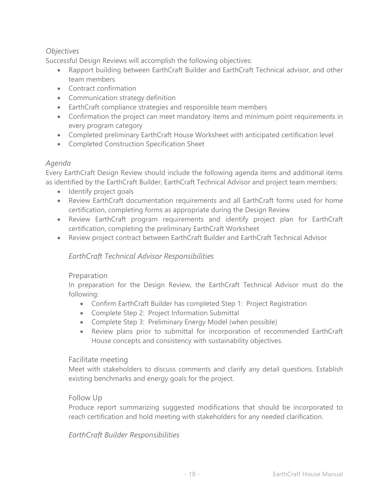## *Objectives*

Successful Design Reviews will accomplish the following objectives:

- Rapport building between EarthCraft Builder and EarthCraft Technical advisor, and other team members
- Contract confirmation
- Communication strategy definition
- EarthCraft compliance strategies and responsible team members
- Confirmation the project can meet mandatory items and minimum point requirements in every program category
- Completed preliminary EarthCraft House Worksheet with anticipated certification level
- Completed Construction Specification Sheet

## *Agenda*

Every EarthCraft Design Review should include the following agenda items and additional items as identified by the EarthCraft Builder, EarthCraft Technical Advisor and project team members:

- Identify project goals
- Review EarthCraft documentation requirements and all EarthCraft forms used for home certification, completing forms as appropriate during the Design Review
- Review EarthCraft program requirements and identify project plan for EarthCraft certification, completing the preliminary EarthCraft Worksheet
- Review project contract between EarthCraft Builder and EarthCraft Technical Advisor

## *EarthCraft Technical Advisor Responsibilities*

## Preparation

In preparation for the Design Review, the EarthCraft Technical Advisor must do the following:

- Confirm EarthCraft Builder has completed Step 1: Project Registration
- Complete Step 2: Project Information Submittal
- Complete Step 3: Preliminary Energy Model (when possible)
- Review plans prior to submittal for incorporation of recommended EarthCraft House concepts and consistency with sustainability objectives.

## Facilitate meeting

Meet with stakeholders to discuss comments and clarify any detail questions. Establish existing benchmarks and energy goals for the project.

#### Follow Up

Produce report summarizing suggested modifications that should be incorporated to reach certification and hold meeting with stakeholders for any needed clarification.

## *EarthCraft Builder Responsibilities*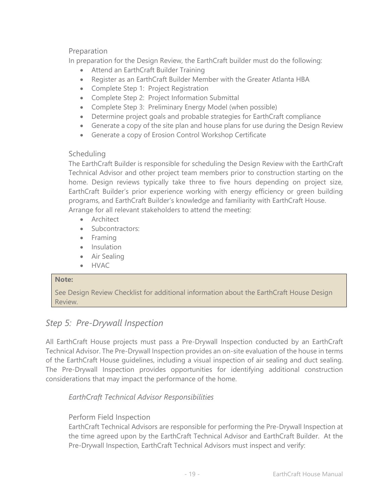## Preparation

In preparation for the Design Review, the EarthCraft builder must do the following:

- Attend an EarthCraft Builder Training
- Register as an EarthCraft Builder Member with the Greater Atlanta HBA
- Complete Step 1: Project Registration
- Complete Step 2: Project Information Submittal
- Complete Step 3: Preliminary Energy Model (when possible)
- Determine project goals and probable strategies for EarthCraft compliance
- Generate a copy of the site plan and house plans for use during the Design Review
- Generate a copy of Erosion Control Workshop Certificate

## **Scheduling**

The EarthCraft Builder is responsible for scheduling the Design Review with the EarthCraft Technical Advisor and other project team members prior to construction starting on the home. Design reviews typically take three to five hours depending on project size, EarthCraft Builder's prior experience working with energy efficiency or green building programs, and EarthCraft Builder's knowledge and familiarity with EarthCraft House. Arrange for all relevant stakeholders to attend the meeting:

- **Architect**
- Subcontractors:
- Framing
- Insulation
- Air Sealing
- HVAC

#### **Note:**

See Design Review Checklist for additional information about the EarthCraft House Design Review.

## *Step 5: Pre-Drywall Inspection*

All EarthCraft House projects must pass a Pre-Drywall Inspection conducted by an EarthCraft Technical Advisor. The Pre-Drywall Inspection provides an on-site evaluation of the house in terms of the EarthCraft House guidelines, including a visual inspection of air sealing and duct sealing. The Pre-Drywall Inspection provides opportunities for identifying additional construction considerations that may impact the performance of the home.

*EarthCraft Technical Advisor Responsibilities*

## Perform Field Inspection

EarthCraft Technical Advisors are responsible for performing the Pre-Drywall Inspection at the time agreed upon by the EarthCraft Technical Advisor and EarthCraft Builder. At the Pre-Drywall Inspection, EarthCraft Technical Advisors must inspect and verify: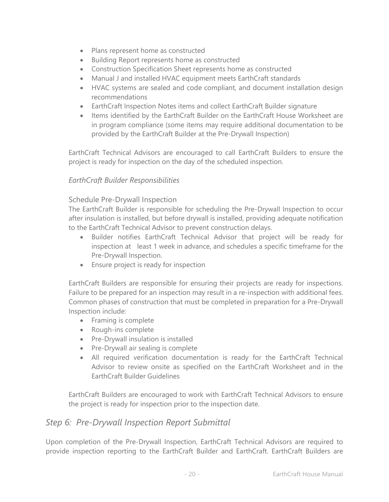- Plans represent home as constructed
- Building Report represents home as constructed
- Construction Specification Sheet represents home as constructed
- Manual J and installed HVAC equipment meets EarthCraft standards
- HVAC systems are sealed and code compliant, and document installation design recommendations
- EarthCraft Inspection Notes items and collect EarthCraft Builder signature
- Items identified by the EarthCraft Builder on the EarthCraft House Worksheet are in program compliance (some items may require additional documentation to be provided by the EarthCraft Builder at the Pre-Drywall Inspection)

EarthCraft Technical Advisors are encouraged to call EarthCraft Builders to ensure the project is ready for inspection on the day of the scheduled inspection.

## *EarthCraft Builder Responsibilities*

#### Schedule Pre-Drywall Inspection

The EarthCraft Builder is responsible for scheduling the Pre-Drywall Inspection to occur after insulation is installed, but before drywall is installed, providing adequate notification to the EarthCraft Technical Advisor to prevent construction delays.

- Builder notifies EarthCraft Technical Advisor that project will be ready for inspection at least 1 week in advance, and schedules a specific timeframe for the Pre-Drywall Inspection.
- Ensure project is ready for inspection

EarthCraft Builders are responsible for ensuring their projects are ready for inspections. Failure to be prepared for an inspection may result in a re-inspection with additional fees. Common phases of construction that must be completed in preparation for a Pre-Drywall Inspection include:

- Framing is complete
- Rough-ins complete
- Pre-Drywall insulation is installed
- Pre-Drywall air sealing is complete
- All required verification documentation is ready for the EarthCraft Technical Advisor to review onsite as specified on the EarthCraft Worksheet and in the EarthCraft Builder Guidelines

EarthCraft Builders are encouraged to work with EarthCraft Technical Advisors to ensure the project is ready for inspection prior to the inspection date.

## *Step 6: Pre-Drywall Inspection Report Submittal*

Upon completion of the Pre-Drywall Inspection, EarthCraft Technical Advisors are required to provide inspection reporting to the EarthCraft Builder and EarthCraft. EarthCraft Builders are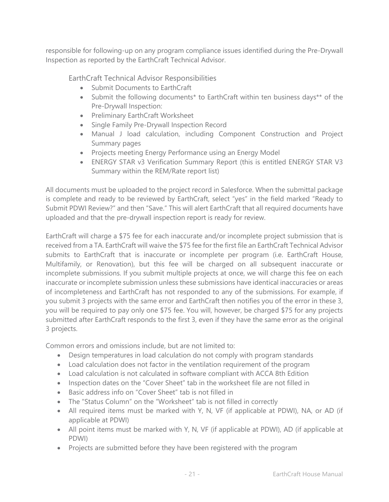responsible for following-up on any program compliance issues identified during the Pre-Drywall Inspection as reported by the EarthCraft Technical Advisor.

EarthCraft Technical Advisor Responsibilities

- Submit Documents to EarthCraft
- Submit the following documents\* to EarthCraft within ten business days\*\* of the Pre-Drywall Inspection:
- Preliminary EarthCraft Worksheet
- Single Family Pre-Drywall Inspection Record
- Manual J load calculation, including Component Construction and Project Summary pages
- Projects meeting Energy Performance using an Energy Model
- ENERGY STAR v3 Verification Summary Report (this is entitled ENERGY STAR V3 Summary within the REM/Rate report list)

All documents must be uploaded to the project record in Salesforce. When the submittal package is complete and ready to be reviewed by EarthCraft, select "yes" in the field marked "Ready to Submit PDWI Review?" and then "Save." This will alert EarthCraft that all required documents have uploaded and that the pre-drywall inspection report is ready for review.

EarthCraft will charge a \$75 fee for each inaccurate and/or incomplete project submission that is received from a TA. EarthCraft will waive the \$75 fee for the first file an EarthCraft Technical Advisor submits to EarthCraft that is inaccurate or incomplete per program (i.e. EarthCraft House, Multifamily, or Renovation), but this fee will be charged on all subsequent inaccurate or incomplete submissions. If you submit multiple projects at once, we will charge this fee on each inaccurate or incomplete submission unless these submissions have identical inaccuracies or areas of incompleteness and EarthCraft has not responded to any of the submissions. For example, if you submit 3 projects with the same error and EarthCraft then notifies you of the error in these 3, you will be required to pay only one \$75 fee. You will, however, be charged \$75 for any projects submitted after EarthCraft responds to the first 3, even if they have the same error as the original 3 projects.

Common errors and omissions include, but are not limited to:

- Design temperatures in load calculation do not comply with program standards
- Load calculation does not factor in the ventilation requirement of the program
- Load calculation is not calculated in software compliant with ACCA 8th Edition
- Inspection dates on the "Cover Sheet" tab in the worksheet file are not filled in
- Basic address info on "Cover Sheet" tab is not filled in
- The "Status Column" on the "Worksheet" tab is not filled in correctly
- All required items must be marked with Y, N, VF (if applicable at PDWI), NA, or AD (if applicable at PDWI)
- All point items must be marked with Y, N, VF (if applicable at PDWI), AD (if applicable at PDWI)
- Projects are submitted before they have been registered with the program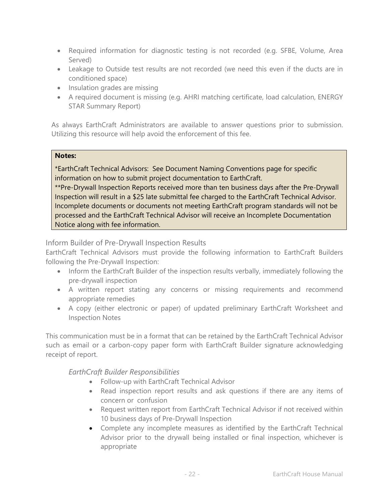- Required information for diagnostic testing is not recorded (e.g. SFBE, Volume, Area Served)
- Leakage to Outside test results are not recorded (we need this even if the ducts are in conditioned space)
- Insulation grades are missing
- A required document is missing (e.g. AHRI matching certificate, load calculation, ENERGY STAR Summary Report)

As always EarthCraft Administrators are available to answer questions prior to submission. Utilizing this resource will help avoid the enforcement of this fee.

#### **Notes:**

\*EarthCraft Technical Advisors: See Document Naming Conventions page for specific information on how to submit project documentation to EarthCraft. \*\*Pre-Drywall Inspection Reports received more than ten business days after the Pre-Drywall

Inspection will result in a \$25 late submittal fee charged to the EarthCraft Technical Advisor. Incomplete documents or documents not meeting EarthCraft program standards will not be processed and the EarthCraft Technical Advisor will receive an Incomplete Documentation Notice along with fee information.

#### Inform Builder of Pre-Drywall Inspection Results

EarthCraft Technical Advisors must provide the following information to EarthCraft Builders following the Pre-Drywall Inspection:

- Inform the EarthCraft Builder of the inspection results verbally, immediately following the pre-drywall inspection
- A written report stating any concerns or missing requirements and recommend appropriate remedies
- A copy (either electronic or paper) of updated preliminary EarthCraft Worksheet and Inspection Notes

This communication must be in a format that can be retained by the EarthCraft Technical Advisor such as email or a carbon-copy paper form with EarthCraft Builder signature acknowledging receipt of report.

## *EarthCraft Builder Responsibilities*

- Follow-up with EarthCraft Technical Advisor
- Read inspection report results and ask questions if there are any items of concern or confusion
- Request written report from EarthCraft Technical Advisor if not received within 10 business days of Pre-Drywall Inspection
- Complete any incomplete measures as identified by the EarthCraft Technical Advisor prior to the drywall being installed or final inspection, whichever is appropriate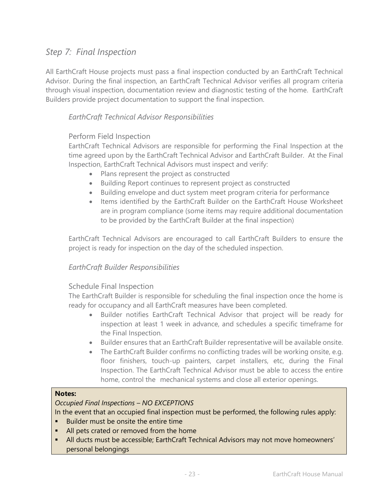## *Step 7: Final Inspection*

All EarthCraft House projects must pass a final inspection conducted by an EarthCraft Technical Advisor. During the final inspection, an EarthCraft Technical Advisor verifies all program criteria through visual inspection, documentation review and diagnostic testing of the home. EarthCraft Builders provide project documentation to support the final inspection.

## *EarthCraft Technical Advisor Responsibilities*

#### Perform Field Inspection

EarthCraft Technical Advisors are responsible for performing the Final Inspection at the time agreed upon by the EarthCraft Technical Advisor and EarthCraft Builder. At the Final Inspection, EarthCraft Technical Advisors must inspect and verify:

- Plans represent the project as constructed
- Building Report continues to represent project as constructed
- Building envelope and duct system meet program criteria for performance
- Items identified by the EarthCraft Builder on the EarthCraft House Worksheet are in program compliance (some items may require additional documentation to be provided by the EarthCraft Builder at the final inspection)

EarthCraft Technical Advisors are encouraged to call EarthCraft Builders to ensure the project is ready for inspection on the day of the scheduled inspection.

#### *EarthCraft Builder Responsibilities*

#### Schedule Final Inspection

The EarthCraft Builder is responsible for scheduling the final inspection once the home is ready for occupancy and all EarthCraft measures have been completed.

- Builder notifies EarthCraft Technical Advisor that project will be ready for inspection at least 1 week in advance, and schedules a specific timeframe for the Final Inspection.
- Builder ensures that an EarthCraft Builder representative will be available onsite.
- The EarthCraft Builder confirms no conflicting trades will be working onsite, e.g. floor finishers, touch-up painters, carpet installers, etc, during the Final Inspection. The EarthCraft Technical Advisor must be able to access the entire home, control the mechanical systems and close all exterior openings.

#### **Notes:**

#### *Occupied Final Inspections – NO EXCEPTIONS*

In the event that an occupied final inspection must be performed, the following rules apply:

- Builder must be onsite the entire time
- All pets crated or removed from the home
- All ducts must be accessible; EarthCraft Technical Advisors may not move homeowners' personal belongings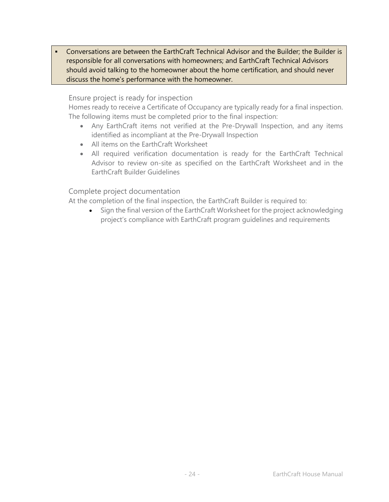Conversations are between the EarthCraft Technical Advisor and the Builder; the Builder is responsible for all conversations with homeowners; and EarthCraft Technical Advisors should avoid talking to the homeowner about the home certification, and should never discuss the home's performance with the homeowner.

#### Ensure project is ready for inspection

Homes ready to receive a Certificate of Occupancy are typically ready for a final inspection. The following items must be completed prior to the final inspection:

- Any EarthCraft items not verified at the Pre-Drywall Inspection, and any items identified as incompliant at the Pre-Drywall Inspection
- All items on the EarthCraft Worksheet
- All required verification documentation is ready for the EarthCraft Technical Advisor to review on-site as specified on the EarthCraft Worksheet and in the EarthCraft Builder Guidelines

#### Complete project documentation

At the completion of the final inspection, the EarthCraft Builder is required to:

• Sign the final version of the EarthCraft Worksheet for the project acknowledging project's compliance with EarthCraft program guidelines and requirements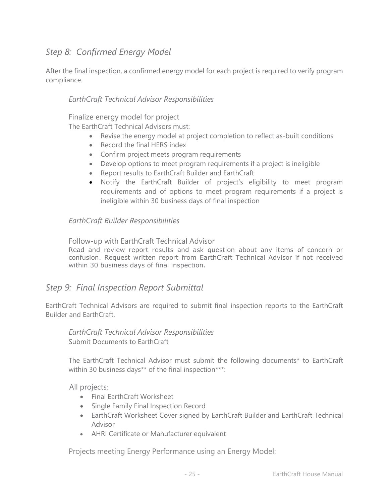## *Step 8: Confirmed Energy Model*

After the final inspection, a confirmed energy model for each project is required to verify program compliance.

## *EarthCraft Technical Advisor Responsibilities*

Finalize energy model for project

The EarthCraft Technical Advisors must:

- Revise the energy model at project completion to reflect as-built conditions
- Record the final HERS index
- Confirm project meets program requirements
- Develop options to meet program requirements if a project is ineligible
- Report results to EarthCraft Builder and EarthCraft
- Notify the EarthCraft Builder of project's eligibility to meet program requirements and of options to meet program requirements if a project is ineligible within 30 business days of final inspection

## *EarthCraft Builder Responsibilities*

Follow-up with EarthCraft Technical Advisor

Read and review report results and ask question about any items of concern or confusion. Request written report from EarthCraft Technical Advisor if not received within 30 business days of final inspection.

## *Step 9: Final Inspection Report Submittal*

EarthCraft Technical Advisors are required to submit final inspection reports to the EarthCraft Builder and EarthCraft.

*EarthCraft Technical Advisor Responsibilities* Submit Documents to EarthCraft

The EarthCraft Technical Advisor must submit the following documents\* to EarthCraft within 30 business days\*\* of the final inspection\*\*\*:

All projects:

- Final EarthCraft Worksheet
- Single Family Final Inspection Record
- EarthCraft Worksheet Cover signed by EarthCraft Builder and EarthCraft Technical Advisor
- AHRI Certificate or Manufacturer equivalent

Projects meeting Energy Performance using an Energy Model: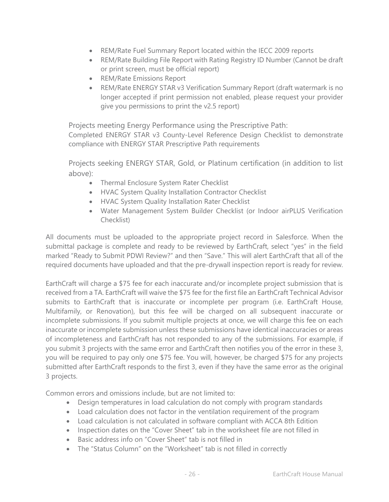- REM/Rate Fuel Summary Report located within the IECC 2009 reports
- REM/Rate Building File Report with Rating Registry ID Number (Cannot be draft or print screen, must be official report)
- REM/Rate Emissions Report
- REM/Rate ENERGY STAR v3 Verification Summary Report (draft watermark is no longer accepted if print permission not enabled, please request your provider give you permissions to print the v2.5 report)

Projects meeting Energy Performance using the Prescriptive Path:

Completed ENERGY STAR v3 County-Level Reference Design Checklist to demonstrate compliance with ENERGY STAR Prescriptive Path requirements

Projects seeking ENERGY STAR, Gold, or Platinum certification (in addition to list above):

- Thermal Enclosure System Rater Checklist
- HVAC System Quality Installation Contractor Checklist
- HVAC System Quality Installation Rater Checklist
- Water Management System Builder Checklist (or Indoor airPLUS Verification Checklist)

All documents must be uploaded to the appropriate project record in Salesforce. When the submittal package is complete and ready to be reviewed by EarthCraft, select "yes" in the field marked "Ready to Submit PDWI Review?" and then "Save." This will alert EarthCraft that all of the required documents have uploaded and that the pre-drywall inspection report is ready for review.

EarthCraft will charge a \$75 fee for each inaccurate and/or incomplete project submission that is received from a TA. EarthCraft will waive the \$75 fee for the first file an EarthCraft Technical Advisor submits to EarthCraft that is inaccurate or incomplete per program (i.e. EarthCraft House, Multifamily, or Renovation), but this fee will be charged on all subsequent inaccurate or incomplete submissions. If you submit multiple projects at once, we will charge this fee on each inaccurate or incomplete submission unless these submissions have identical inaccuracies or areas of incompleteness and EarthCraft has not responded to any of the submissions. For example, if you submit 3 projects with the same error and EarthCraft then notifies you of the error in these 3, you will be required to pay only one \$75 fee. You will, however, be charged \$75 for any projects submitted after EarthCraft responds to the first 3, even if they have the same error as the original 3 projects.

Common errors and omissions include, but are not limited to:

- Design temperatures in load calculation do not comply with program standards
- Load calculation does not factor in the ventilation requirement of the program
- Load calculation is not calculated in software compliant with ACCA 8th Edition
- Inspection dates on the "Cover Sheet" tab in the worksheet file are not filled in
- Basic address info on "Cover Sheet" tab is not filled in
- The "Status Column" on the "Worksheet" tab is not filled in correctly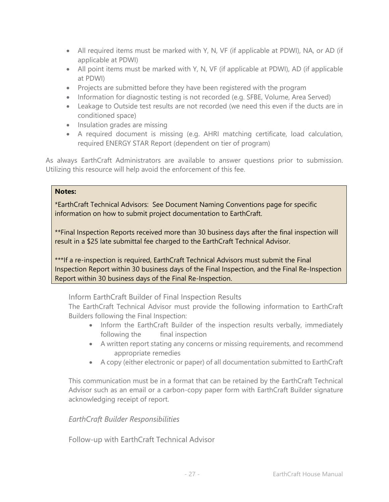- All required items must be marked with Y, N, VF (if applicable at PDWI), NA, or AD (if applicable at PDWI)
- All point items must be marked with Y, N, VF (if applicable at PDWI), AD (if applicable at PDWI)
- Projects are submitted before they have been registered with the program
- Information for diagnostic testing is not recorded (e.g. SFBE, Volume, Area Served)
- Leakage to Outside test results are not recorded (we need this even if the ducts are in conditioned space)
- Insulation grades are missing
- A required document is missing (e.g. AHRI matching certificate, load calculation, required ENERGY STAR Report (dependent on tier of program)

As always EarthCraft Administrators are available to answer questions prior to submission. Utilizing this resource will help avoid the enforcement of this fee.

#### **Notes:**

\*EarthCraft Technical Advisors: See Document Naming Conventions page for specific information on how to submit project documentation to EarthCraft.

\*\*Final Inspection Reports received more than 30 business days after the final inspection will result in a \$25 late submittal fee charged to the EarthCraft Technical Advisor.

\*\*\*If a re-inspection is required, EarthCraft Technical Advisors must submit the Final Inspection Report within 30 business days of the Final Inspection, and the Final Re-Inspection Report within 30 business days of the Final Re-Inspection.

Inform EarthCraft Builder of Final Inspection Results

The EarthCraft Technical Advisor must provide the following information to EarthCraft Builders following the Final Inspection:

- Inform the EarthCraft Builder of the inspection results verbally, immediately following the final inspection
- A written report stating any concerns or missing requirements, and recommend appropriate remedies
- A copy (either electronic or paper) of all documentation submitted to EarthCraft

This communication must be in a format that can be retained by the EarthCraft Technical Advisor such as an email or a carbon-copy paper form with EarthCraft Builder signature acknowledging receipt of report.

#### *EarthCraft Builder Responsibilities*

Follow-up with EarthCraft Technical Advisor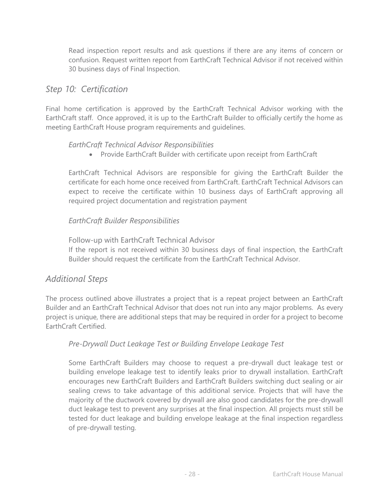Read inspection report results and ask questions if there are any items of concern or confusion. Request written report from EarthCraft Technical Advisor if not received within 30 business days of Final Inspection.

## *Step 10: Certification*

Final home certification is approved by the EarthCraft Technical Advisor working with the EarthCraft staff. Once approved, it is up to the EarthCraft Builder to officially certify the home as meeting EarthCraft House program requirements and guidelines.

## *EarthCraft Technical Advisor Responsibilities*

Provide EarthCraft Builder with certificate upon receipt from EarthCraft

EarthCraft Technical Advisors are responsible for giving the EarthCraft Builder the certificate for each home once received from EarthCraft. EarthCraft Technical Advisors can expect to receive the certificate within 10 business days of EarthCraft approving all required project documentation and registration payment

## *EarthCraft Builder Responsibilities*

Follow-up with EarthCraft Technical Advisor If the report is not received within 30 business days of final inspection, the EarthCraft Builder should request the certificate from the EarthCraft Technical Advisor.

## *Additional Steps*

The process outlined above illustrates a project that is a repeat project between an EarthCraft Builder and an EarthCraft Technical Advisor that does not run into any major problems. As every project is unique, there are additional steps that may be required in order for a project to become EarthCraft Certified.

## *Pre-Drywall Duct Leakage Test or Building Envelope Leakage Test*

Some EarthCraft Builders may choose to request a pre-drywall duct leakage test or building envelope leakage test to identify leaks prior to drywall installation. EarthCraft encourages new EarthCraft Builders and EarthCraft Builders switching duct sealing or air sealing crews to take advantage of this additional service. Projects that will have the majority of the ductwork covered by drywall are also good candidates for the pre-drywall duct leakage test to prevent any surprises at the final inspection. All projects must still be tested for duct leakage and building envelope leakage at the final inspection regardless of pre-drywall testing.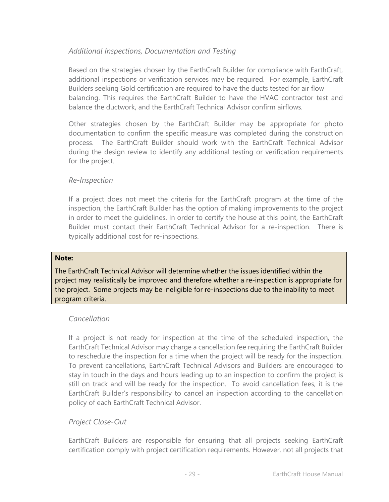## *Additional Inspections, Documentation and Testing*

Based on the strategies chosen by the EarthCraft Builder for compliance with EarthCraft, additional inspections or verification services may be required. For example, EarthCraft Builders seeking Gold certification are required to have the ducts tested for air flow balancing. This requires the EarthCraft Builder to have the HVAC contractor test and balance the ductwork, and the EarthCraft Technical Advisor confirm airflows.

Other strategies chosen by the EarthCraft Builder may be appropriate for photo documentation to confirm the specific measure was completed during the construction process. The EarthCraft Builder should work with the EarthCraft Technical Advisor during the design review to identify any additional testing or verification requirements for the project.

#### *Re-Inspection*

If a project does not meet the criteria for the EarthCraft program at the time of the inspection, the EarthCraft Builder has the option of making improvements to the project in order to meet the guidelines. In order to certify the house at this point, the EarthCraft Builder must contact their EarthCraft Technical Advisor for a re-inspection. There is typically additional cost for re-inspections.

#### **Note:**

The EarthCraft Technical Advisor will determine whether the issues identified within the project may realistically be improved and therefore whether a re-inspection is appropriate for the project. Some projects may be ineligible for re-inspections due to the inability to meet program criteria.

## *Cancellation*

If a project is not ready for inspection at the time of the scheduled inspection, the EarthCraft Technical Advisor may charge a cancellation fee requiring the EarthCraft Builder to reschedule the inspection for a time when the project will be ready for the inspection. To prevent cancellations, EarthCraft Technical Advisors and Builders are encouraged to stay in touch in the days and hours leading up to an inspection to confirm the project is still on track and will be ready for the inspection. To avoid cancellation fees, it is the EarthCraft Builder's responsibility to cancel an inspection according to the cancellation policy of each EarthCraft Technical Advisor.

## *Project Close-Out*

EarthCraft Builders are responsible for ensuring that all projects seeking EarthCraft certification comply with project certification requirements. However, not all projects that